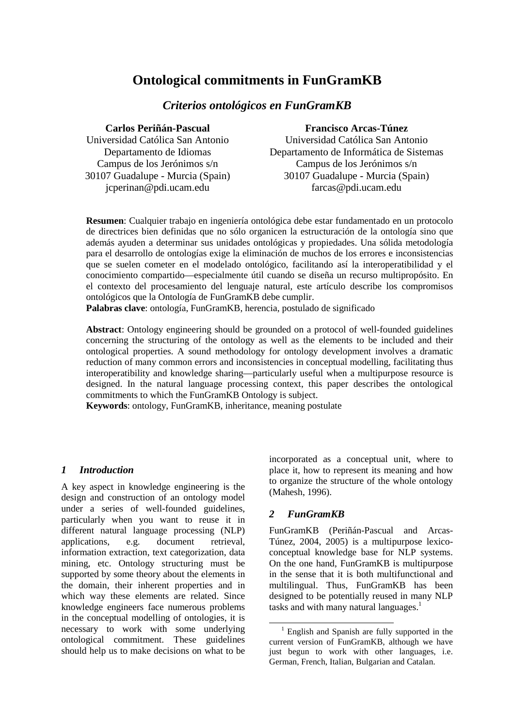# **Ontological commitments in FunGramKB**

# *Criterios ontológicos en FunGramKB*

**Carlos Periñán-Pascual** 

#### **Francisco Arcas-Túnez**

Universidad Católica San Antonio Departamento de Idiomas Campus de los Jerónimos s/n 30107 Guadalupe - Murcia (Spain) jcperinan@pdi.ucam.edu

Universidad Católica San Antonio Departamento de Informática de Sistemas Campus de los Jerónimos s/n 30107 Guadalupe - Murcia (Spain) farcas@pdi.ucam.edu

**Resumen**: Cualquier trabajo en ingeniería ontológica debe estar fundamentado en un protocolo de directrices bien definidas que no sólo organicen la estructuración de la ontología sino que además ayuden a determinar sus unidades ontológicas y propiedades. Una sólida metodología para el desarrollo de ontologías exige la eliminación de muchos de los errores e inconsistencias que se suelen cometer en el modelado ontológico, facilitando así la interoperatibilidad y el conocimiento compartido—especialmente útil cuando se diseña un recurso multipropósito. En el contexto del procesamiento del lenguaje natural, este artículo describe los compromisos ontológicos que la Ontología de FunGramKB debe cumplir.

**Palabras clave**: ontología, FunGramKB, herencia, postulado de significado

**Abstract**: Ontology engineering should be grounded on a protocol of well-founded guidelines concerning the structuring of the ontology as well as the elements to be included and their ontological properties. A sound methodology for ontology development involves a dramatic reduction of many common errors and inconsistencies in conceptual modelling, facilitating thus interoperatibility and knowledge sharing—particularly useful when a multipurpose resource is designed. In the natural language processing context, this paper describes the ontological commitments to which the FunGramKB Ontology is subject.

**Keywords**: ontology, FunGramKB, inheritance, meaning postulate

## *1 Introduction*

A key aspect in knowledge engineering is the design and construction of an ontology model under a series of well-founded guidelines, particularly when you want to reuse it in different natural language processing (NLP) applications, e.g. document retrieval, information extraction, text categorization, data mining, etc. Ontology structuring must be supported by some theory about the elements in the domain, their inherent properties and in which way these elements are related. Since knowledge engineers face numerous problems in the conceptual modelling of ontologies, it is necessary to work with some underlying ontological commitment. These guidelines should help us to make decisions on what to be incorporated as a conceptual unit, where to place it, how to represent its meaning and how to organize the structure of the whole ontology (Mahesh, 1996).

# *2 FunGramKB*

FunGramKB (Periñán-Pascual and Arcas-Túnez, 2004, 2005) is a multipurpose lexicoconceptual knowledge base for NLP systems. On the one hand, FunGramKB is multipurpose in the sense that it is both multifunctional and multilingual. Thus, FunGramKB has been designed to be potentially reused in many NLP tasks and with many natural languages.<sup>1</sup>

 $\overline{a}$ <sup>1</sup> English and Spanish are fully supported in the current version of FunGramKB, although we have just begun to work with other languages, i.e. German, French, Italian, Bulgarian and Catalan.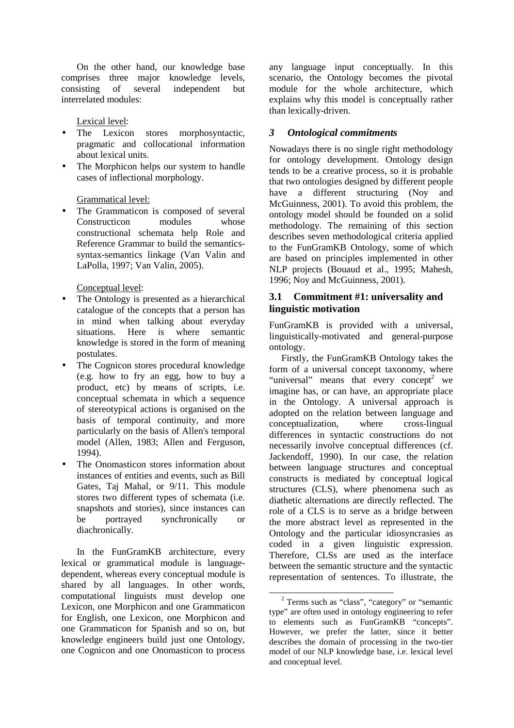On the other hand, our knowledge base comprises three major knowledge levels, consisting of several independent but interrelated modules:

Lexical level:

- The Lexicon stores morphosyntactic, pragmatic and collocational information about lexical units.
- The Morphicon helps our system to handle cases of inflectional morphology.

## Grammatical level:

The Grammaticon is composed of several Constructicon modules whose constructional schemata help Role and Reference Grammar to build the semanticssyntax-semantics linkage (Van Valin and LaPolla, 1997; Van Valin, 2005).

Conceptual level:

- The Ontology is presented as a hierarchical catalogue of the concepts that a person has in mind when talking about everyday situations. Here is where semantic knowledge is stored in the form of meaning postulates.
- The Cognicon stores procedural knowledge (e.g. how to fry an egg, how to buy a product, etc) by means of scripts, i.e. conceptual schemata in which a sequence of stereotypical actions is organised on the basis of temporal continuity, and more particularly on the basis of Allen's temporal model (Allen, 1983; Allen and Ferguson, 1994).
- The Onomasticon stores information about instances of entities and events, such as Bill Gates, Taj Mahal, or 9/11. This module stores two different types of schemata (i.e. snapshots and stories), since instances can be portrayed synchronically or diachronically.

In the FunGramKB architecture, every lexical or grammatical module is languagedependent, whereas every conceptual module is shared by all languages. In other words, computational linguists must develop one Lexicon, one Morphicon and one Grammaticon for English, one Lexicon, one Morphicon and one Grammaticon for Spanish and so on, but knowledge engineers build just one Ontology, one Cognicon and one Onomasticon to process any language input conceptually. In this scenario, the Ontology becomes the pivotal module for the whole architecture, which explains why this model is conceptually rather than lexically-driven.

# *3 Ontological commitments*

Nowadays there is no single right methodology for ontology development. Ontology design tends to be a creative process, so it is probable that two ontologies designed by different people have a different structuring (Noy and McGuinness, 2001). To avoid this problem, the ontology model should be founded on a solid methodology. The remaining of this section describes seven methodological criteria applied to the FunGramKB Ontology, some of which are based on principles implemented in other NLP projects (Bouaud et al., 1995; Mahesh, 1996; Noy and McGuinness, 2001).

# **3.1 Commitment #1: universality and linguistic motivation**

FunGramKB is provided with a universal, linguistically-motivated and general-purpose ontology.

Firstly, the FunGramKB Ontology takes the form of a universal concept taxonomy, where "universal" means that every concept<sup>2</sup> we imagine has, or can have, an appropriate place in the Ontology. A universal approach is adopted on the relation between language and conceptualization, where cross-lingual differences in syntactic constructions do not necessarily involve conceptual differences (cf. Jackendoff, 1990). In our case, the relation between language structures and conceptual constructs is mediated by conceptual logical structures (CLS), where phenomena such as diathetic alternations are directly reflected. The role of a CLS is to serve as a bridge between the more abstract level as represented in the Ontology and the particular idiosyncrasies as coded in a given linguistic expression. Therefore, CLSs are used as the interface between the semantic structure and the syntactic representation of sentences. To illustrate, the

<sup>&</sup>lt;sup>2</sup> Terms such as "class", "category" or "semantic type" are often used in ontology engineering to refer to elements such as FunGramKB "concepts". However, we prefer the latter, since it better describes the domain of processing in the two-tier model of our NLP knowledge base, i.e. lexical level and conceptual level.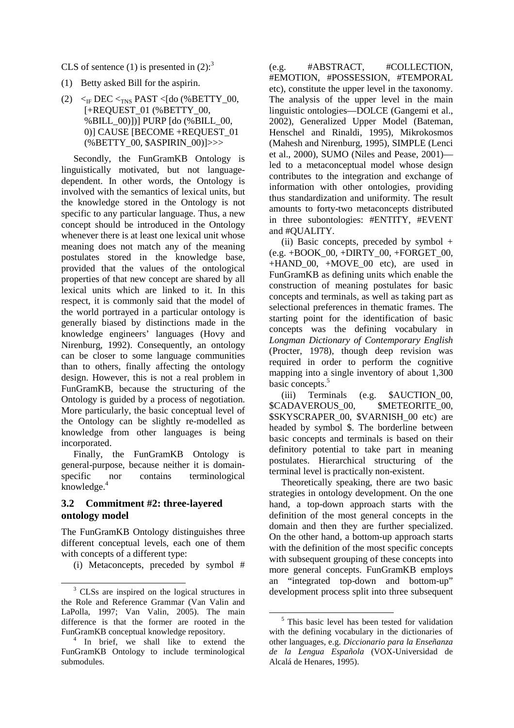CLS of sentence (1) is presented in  $(2)$ :<sup>3</sup>

- (1) Betty asked Bill for the aspirin.
- (2)  $\leq$ <sub>IF</sub> DEC  $\leq$ <sub>TNS</sub> PAST  $\leq$ [do (%BETTY\_00, [+REQUEST\_01 (%BETTY\_00, %BILL\_00)])] PURP [do (%BILL\_00, 0)] CAUSE [BECOME +REQUEST\_01 (%BETTY\_00, \$ASPIRIN\_00)]>>>

Secondly, the FunGram<sub>KB</sub> Ontology is linguistically motivated, but not languagedependent. In other words, the Ontology is involved with the semantics of lexical units, but the knowledge stored in the Ontology is not specific to any particular language. Thus, a new concept should be introduced in the Ontology whenever there is at least one lexical unit whose meaning does not match any of the meaning postulates stored in the knowledge base, provided that the values of the ontological properties of that new concept are shared by all lexical units which are linked to it. In this respect, it is commonly said that the model of the world portrayed in a particular ontology is generally biased by distinctions made in the knowledge engineers' languages (Hovy and Nirenburg, 1992). Consequently, an ontology can be closer to some language communities than to others, finally affecting the ontology design. However, this is not a real problem in FunGramKB, because the structuring of the Ontology is guided by a process of negotiation. More particularly, the basic conceptual level of the Ontology can be slightly re-modelled as knowledge from other languages is being incorporated.

Finally, the FunGramKB Ontology is general-purpose, because neither it is domainspecific nor contains terminological knowledge.<sup>4</sup>

#### **3.2 Commitment #2: three-layered ontology model**

 $\overline{a}$ 

The FunGramKB Ontology distinguishes three different conceptual levels, each one of them with concepts of a different type:

(i) Metaconcepts, preceded by symbol #

(e.g. #ABSTRACT, #COLLECTION, #EMOTION, #POSSESSION, #TEMPORAL etc), constitute the upper level in the taxonomy. The analysis of the upper level in the main linguistic ontologies—DOLCE (Gangemi et al., 2002), Generalized Upper Model (Bateman, Henschel and Rinaldi, 1995), Mikrokosmos (Mahesh and Nirenburg, 1995), SIMPLE (Lenci et al., 2000), SUMO (Niles and Pease, 2001) led to a metaconceptual model whose design contributes to the integration and exchange of information with other ontologies, providing thus standardization and uniformity. The result amounts to forty-two metaconcepts distributed in three subontologies: #ENTITY, #EVENT and #QUALITY.

(ii) Basic concepts, preceded by symbol +  $(e.g. + \text{BOOK} \ 00, + \text{DIRTY} \ 00, + \text{FORGET} \ 00,$ +HAND\_00, +MOVE\_00 etc), are used in FunGramKB as defining units which enable the construction of meaning postulates for basic concepts and terminals, as well as taking part as selectional preferences in thematic frames. The starting point for the identification of basic concepts was the defining vocabulary in *Longman Dictionary of Contemporary English* (Procter, 1978), though deep revision was required in order to perform the cognitive mapping into a single inventory of about 1,300 basic concepts.<sup>5</sup>

(iii) Terminals (e.g. \$AUCTION\_00, \$CADAVEROUS 00, \$METEORITE 00, \$SKYSCRAPER\_00, \$VARNISH\_00 etc) are headed by symbol \$. The borderline between basic concepts and terminals is based on their definitory potential to take part in meaning postulates. Hierarchical structuring of the terminal level is practically non-existent.

Theoretically speaking, there are two basic strategies in ontology development. On the one hand, a top-down approach starts with the definition of the most general concepts in the domain and then they are further specialized. On the other hand, a bottom-up approach starts with the definition of the most specific concepts with subsequent grouping of these concepts into more general concepts. FunGramKB employs an "integrated top-down and bottom-up" development process split into three subsequent

<sup>&</sup>lt;sup>3</sup> CLSs are inspired on the logical structures in the Role and Reference Grammar (Van Valin and LaPolla, 1997; Van Valin, 2005). The main difference is that the former are rooted in the FunGramKB conceptual knowledge repository.

<sup>4</sup> In brief, we shall like to extend the FunGramKB Ontology to include terminological submodules.

<sup>&</sup>lt;sup>5</sup> This basic level has been tested for validation with the defining vocabulary in the dictionaries of other languages, e.g. *Diccionario para la Enseñanza de la Lengua Española* (VOX-Universidad de Alcalá de Henares, 1995).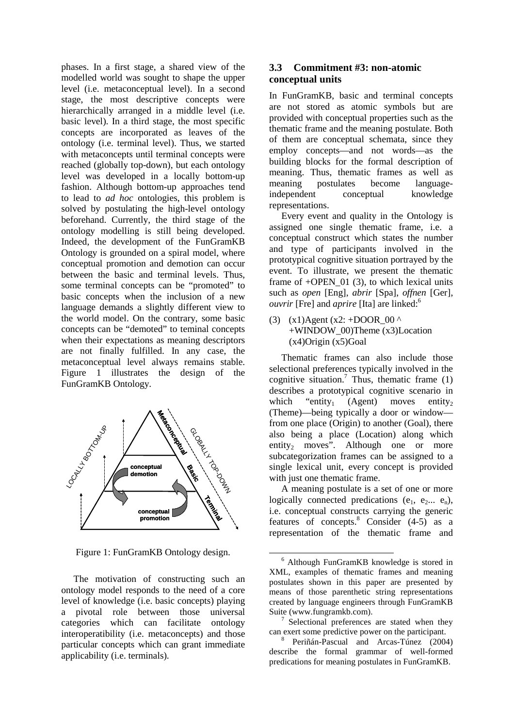phases. In a first stage, a shared view of the modelled world was sought to shape the upper level (i.e. metaconceptual level). In a second stage, the most descriptive concepts were hierarchically arranged in a middle level (i.e. basic level). In a third stage, the most specific concepts are incorporated as leaves of the ontology (i.e. terminal level). Thus, we started with metaconcepts until terminal concepts were reached (globally top-down), but each ontology level was developed in a locally bottom-up fashion. Although bottom-up approaches tend to lead to *ad hoc* ontologies, this problem is solved by postulating the high-level ontology beforehand. Currently, the third stage of the ontology modelling is still being developed. Indeed, the development of the FunGramKB Ontology is grounded on a spiral model, where conceptual promotion and demotion can occur between the basic and terminal levels. Thus, some terminal concepts can be "promoted" to basic concepts when the inclusion of a new language demands a slightly different view to the world model. On the contrary, some basic concepts can be "demoted" to teminal concepts when their expectations as meaning descriptors are not finally fulfilled. In any case, the metaconceptual level always remains stable. Figure 1 illustrates the design of the FunGramKB Ontology.



Figure 1: FunGramKB Ontology design.

The motivation of constructing such an ontology model responds to the need of a core level of knowledge (i.e. basic concepts) playing a pivotal role between those universal categories which can facilitate ontology interoperatibility (i.e. metaconcepts) and those particular concepts which can grant immediate applicability (i.e. terminals).

## **3.3 Commitment #3: non-atomic conceptual units**

In FunGramKB, basic and terminal concepts are not stored as atomic symbols but are provided with conceptual properties such as the thematic frame and the meaning postulate. Both of them are conceptual schemata, since they employ concepts—and not words—as the building blocks for the formal description of meaning. Thus, thematic frames as well as meaning postulates become languageindependent conceptual knowledge representations.

Every event and quality in the Ontology is assigned one single thematic frame, i.e. a conceptual construct which states the number and type of participants involved in the prototypical cognitive situation portrayed by the event. To illustrate, we present the thematic frame of  $+$ OPEN 01 (3), to which lexical units such as *open* [Eng], *abrir* [Spa], *offnen* [Ger], *ouvrir* [Fre] and *aprire* [Ita] are linked:<sup>6</sup>

(3) (x1)Agent (x2: +DOOR  $\overline{00}$  ^ +WINDOW\_00)Theme (x3)Location  $(x4)$ Origin  $(x5)$ Goal

Thematic frames can also include those selectional preferences typically involved in the cognitive situation.<sup>7</sup> Thus, thematic frame  $(1)$ describes a prototypical cognitive scenario in which "entity<sub>1</sub> (Agent) moves entity<sub>2</sub> (Theme)—being typically a door or window from one place (Origin) to another (Goal), there also being a place (Location) along which entity<sub>2</sub> moves". Although one or more subcategorization frames can be assigned to a single lexical unit, every concept is provided with just one thematic frame.

A meaning postulate is a set of one or more logically connected predications (e<sub>1</sub>, e<sub>2</sub>... e<sub>n</sub>), i.e. conceptual constructs carrying the generic features of concepts.<sup>8</sup> Consider (4-5) as a representation of the thematic frame and

<sup>6</sup> Although FunGramKB knowledge is stored in XML, examples of thematic frames and meaning postulates shown in this paper are presented by means of those parenthetic string representations created by language engineers through FunGramKB Suite (www.fungramkb.com).

<sup>7</sup> Selectional preferences are stated when they can exert some predictive power on the participant.

<sup>8</sup> Periñán-Pascual and Arcas-Túnez (2004) describe the formal grammar of well-formed predications for meaning postulates in FunGramKB.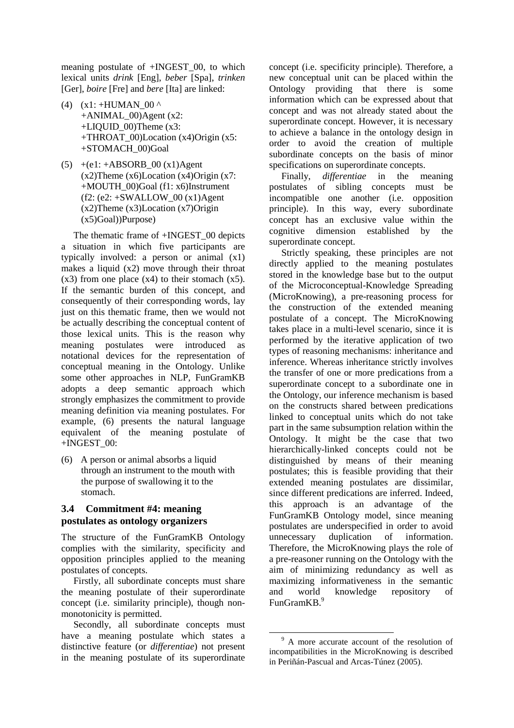meaning postulate of +INGEST\_00, to which lexical units *drink* [Eng], *beber* [Spa], *trinken* [Ger], *boire* [Fre] and *bere* [Ita] are linked:

- (4)  $(x1: +HUMAN 00^{\circ})$  $+ANIMAL$  00)Agent (x2: +LIQUID\_00)Theme (x3: +THROAT\_00)Location (x4)Origin (x5: +STOMACH\_00)Goal
- $(5)$  +(e1: +ABSORB 00 (x1)Agent (x2)Theme (x6)Location (x4)Origin (x7: +MOUTH\_00)Goal (f1: x6)Instrument (f2: (e2: +SWALLOW\_00 (x1)Agent (x2)Theme (x3)Location (x7)Origin (x5)Goal))Purpose)

The thematic frame of +INGEST\_00 depicts a situation in which five participants are typically involved: a person or animal (x1) makes a liquid  $(x2)$  move through their throat  $(x3)$  from one place  $(x4)$  to their stomach  $(x5)$ . If the semantic burden of this concept, and consequently of their corresponding words, lay just on this thematic frame, then we would not be actually describing the conceptual content of those lexical units. This is the reason why meaning postulates were introduced as notational devices for the representation of conceptual meaning in the Ontology. Unlike some other approaches in NLP, FunGramKB adopts a deep semantic approach which strongly emphasizes the commitment to provide meaning definition via meaning postulates. For example, (6) presents the natural language equivalent of the meaning postulate of +INGEST\_00:

(6) A person or animal absorbs a liquid through an instrument to the mouth with the purpose of swallowing it to the stomach.

## **3.4 Commitment #4: meaning postulates as ontology organizers**

The structure of the FunGramKB Ontology complies with the similarity, specificity and opposition principles applied to the meaning postulates of concepts.

Firstly, all subordinate concepts must share the meaning postulate of their superordinate concept (i.e. similarity principle), though nonmonotonicity is permitted.

Secondly, all subordinate concepts must have a meaning postulate which states a distinctive feature (or *differentiae*) not present in the meaning postulate of its superordinate concept (i.e. specificity principle). Therefore, a new conceptual unit can be placed within the Ontology providing that there is some information which can be expressed about that concept and was not already stated about the superordinate concept. However, it is necessary to achieve a balance in the ontology design in order to avoid the creation of multiple subordinate concepts on the basis of minor specifications on superordinate concepts.

Finally, *differentiae* in the meaning postulates of sibling concepts must be incompatible one another (i.e. opposition principle). In this way, every subordinate concept has an exclusive value within the cognitive dimension established by the superordinate concept.

Strictly speaking, these principles are not directly applied to the meaning postulates stored in the knowledge base but to the output of the Microconceptual-Knowledge Spreading (MicroKnowing), a pre-reasoning process for the construction of the extended meaning postulate of a concept. The MicroKnowing takes place in a multi-level scenario, since it is performed by the iterative application of two types of reasoning mechanisms: inheritance and inference. Whereas inheritance strictly involves the transfer of one or more predications from a superordinate concept to a subordinate one in the Ontology, our inference mechanism is based on the constructs shared between predications linked to conceptual units which do not take part in the same subsumption relation within the Ontology. It might be the case that two hierarchically-linked concepts could not be distinguished by means of their meaning postulates; this is feasible providing that their extended meaning postulates are dissimilar, since different predications are inferred. Indeed, this approach is an advantage of the FunGramKB Ontology model, since meaning postulates are underspecified in order to avoid unnecessary duplication of information. Therefore, the MicroKnowing plays the role of a pre-reasoner running on the Ontology with the aim of minimizing redundancy as well as maximizing informativeness in the semantic and world knowledge repository of FunGramKB.<sup>9</sup>

<sup>&</sup>lt;sup>9</sup> A more accurate account of the resolution of incompatibilities in the MicroKnowing is described in Periñán-Pascual and Arcas-Túnez (2005).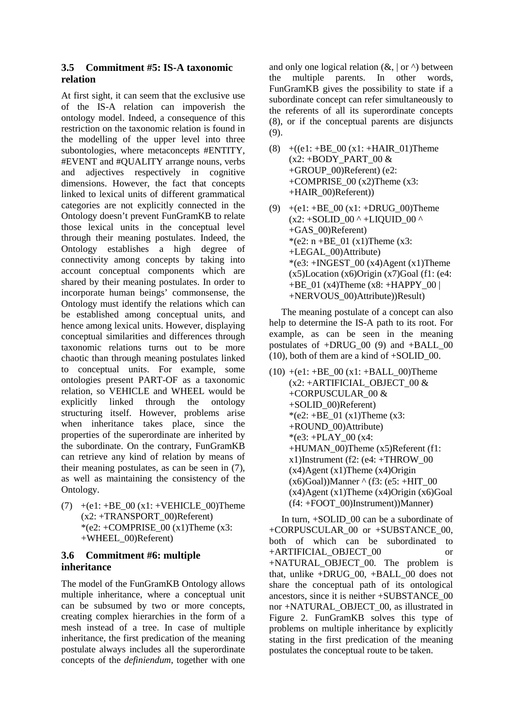# **3.5 Commitment #5: IS-A taxonomic relation**

At first sight, it can seem that the exclusive use of the IS-A relation can impoverish the ontology model. Indeed, a consequence of this restriction on the taxonomic relation is found in the modelling of the upper level into three subontologies, where metaconcepts #ENTITY, #EVENT and #QUALITY arrange nouns, verbs and adjectives respectively in cognitive dimensions. However, the fact that concepts linked to lexical units of different grammatical categories are not explicitly connected in the Ontology doesn't prevent FunGramKB to relate those lexical units in the conceptual level through their meaning postulates. Indeed, the Ontology establishes a high degree of connectivity among concepts by taking into account conceptual components which are shared by their meaning postulates. In order to incorporate human beings' commonsense, the Ontology must identify the relations which can be established among conceptual units, and hence among lexical units. However, displaying conceptual similarities and differences through taxonomic relations turns out to be more chaotic than through meaning postulates linked to conceptual units. For example, some ontologies present PART-OF as a taxonomic relation, so VEHICLE and WHEEL would be explicitly linked through the ontology structuring itself. However, problems arise when inheritance takes place, since the properties of the superordinate are inherited by the subordinate. On the contrary, FunGramKB can retrieve any kind of relation by means of their meaning postulates, as can be seen in (7), as well as maintaining the consistency of the Ontology.

(7)  $+(e1: +BE_00(x1: +VEHICLE_00)$ Theme  $(x2: +TRANSPORT$  00)Referent) \*(e2:  $+COMPRISE$  00 (x1)Theme (x3: +WHEEL\_00)Referent)

## **3.6 Commitment #6: multiple inheritance**

The model of the FunGramKB Ontology allows multiple inheritance, where a conceptual unit can be subsumed by two or more concepts, creating complex hierarchies in the form of a mesh instead of a tree. In case of multiple inheritance, the first predication of the meaning postulate always includes all the superordinate concepts of the *definiendum*, together with one and only one logical relation  $(\&, |$  or  $\land$ ) between the multiple parents. In other words, FunGramKB gives the possibility to state if a subordinate concept can refer simultaneously to the referents of all its superordinate concepts (8), or if the conceptual parents are disjuncts (9).

- (8)  $+(e1: +BE_00 (x1: +HAIR_01)$ Theme  $(x2: +BODY$  PART 00 & +GROUP\_00)Referent) (e2: +COMPRISE\_00 (x2)Theme (x3: +HAIR\_00)Referent))
- (9)  $+(e1: +BE_00 (x1: +DRUG_00)$ Theme  $(x2: +SOLID_00^+ +LIQUID_00^+)$ +GAS\_00)Referent) \*(e2:  $n + BE_01$  (x1)Theme (x3: +LEGAL\_00)Attribute)  $*(e3: + INGEST 00 (x4) Agent (x1)Then)$  $(x5)$ Location  $(x6)$ Origin  $(x7)$ Goal (f1: (e4: +BE\_01 (x4)Theme (x8: +HAPPY\_00 | +NERVOUS\_00)Attribute))Result)

The meaning postulate of a concept can also help to determine the IS-A path to its root. For example, as can be seen in the meaning postulates of +DRUG\_00 (9) and +BALL\_00 (10), both of them are a kind of +SOLID\_00.

 $(10) + (e1: +BE_00 (x1: +BALL_00)$ Theme (x2: +ARTIFICIAL\_OBJECT\_00 & +CORPUSCULAR\_00 & +SOLID\_00)Referent)  $*(e2: +BE_01(x1)$ Theme (x3: +ROUND\_00)Attribute)  $*(e3: +PLAY_00(x4))$ +HUMAN\_00)Theme (x5)Referent (f1:  $x1)$ Instrument (f2: (e4: +THROW 00  $(x4)$ Agent  $(x1)$ Theme  $(x4)$ Origin  $(x6)$ Goal))Manner  $\wedge$  (f3: (e5: +HIT 00  $(x4)$ Agent  $(x1)$ Theme  $(x4)$ Origin  $(x6)$ Goal (f4: +FOOT\_00)Instrument))Manner)

In turn, +SOLID\_00 can be a subordinate of +CORPUSCULAR\_00 or +SUBSTANCE\_00, both of which can be subordinated to +ARTIFICIAL\_OBJECT\_00 or +NATURAL\_OBJECT\_00. The problem is that, unlike +DRUG\_00, +BALL\_00 does not share the conceptual path of its ontological ancestors, since it is neither +SUBSTANCE\_00 nor +NATURAL\_OBJECT\_00, as illustrated in Figure 2. FunGramKB solves this type of problems on multiple inheritance by explicitly stating in the first predication of the meaning postulates the conceptual route to be taken.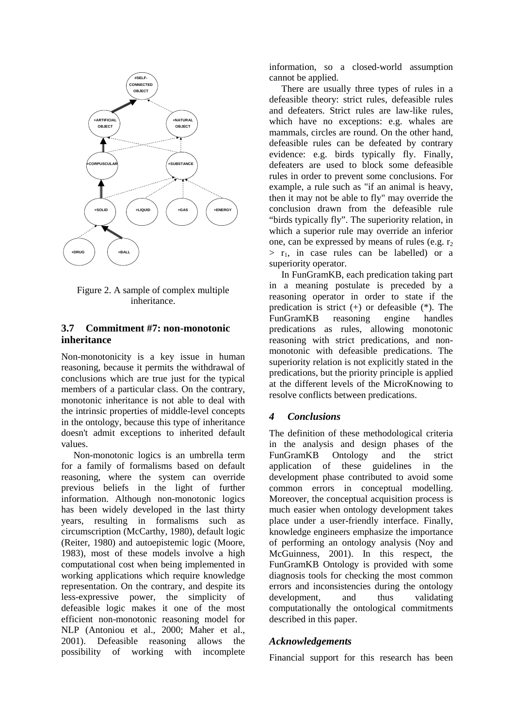

Figure 2. A sample of complex multiple inheritance.

#### **3.7 Commitment #7: non-monotonic inheritance**

Non-monotonicity is a key issue in human reasoning, because it permits the withdrawal of conclusions which are true just for the typical members of a particular class. On the contrary, monotonic inheritance is not able to deal with the intrinsic properties of middle-level concepts in the ontology, because this type of inheritance doesn't admit exceptions to inherited default values.

Non-monotonic logics is an umbrella term for a family of formalisms based on default reasoning, where the system can override previous beliefs in the light of further information. Although non-monotonic logics has been widely developed in the last thirty years, resulting in formalisms such as circumscription (McCarthy, 1980), default logic (Reiter, 1980) and autoepistemic logic (Moore, 1983), most of these models involve a high computational cost when being implemented in working applications which require knowledge representation. On the contrary, and despite its less-expressive power, the simplicity of defeasible logic makes it one of the most efficient non-monotonic reasoning model for NLP (Antoniou et al., 2000; Maher et al., 2001). Defeasible reasoning allows the  $2001$ ). Defeasible reasoning possibility of working with incomplete

information, so a closed-world assumption cannot be applied.

There are usually three types of rules in a defeasible theory: strict rules, defeasible rules and defeaters. Strict rules are law-like rules, which have no exceptions: e.g. whales are mammals, circles are round. On the other hand, defeasible rules can be defeated by contrary evidence: e.g. birds typically fly. Finally, defeaters are used to block some defeasible rules in order to prevent some conclusions. For example, a rule such as "if an animal is heavy, then it may not be able to fly" may override the conclusion drawn from the defeasible rule "birds typically fly". The superiority relation, in which a superior rule may override an inferior one, can be expressed by means of rules (e.g.  $r<sub>2</sub>$ )  $>$  r<sub>1</sub>, in case rules can be labelled) or a superiority operator.

In FunGramKB, each predication taking part in a meaning postulate is preceded by a reasoning operator in order to state if the predication is strict (+) or defeasible (\*). The FunGramKB reasoning engine handles predications as rules, allowing monotonic reasoning with strict predications, and nonmonotonic with defeasible predications. The superiority relation is not explicitly stated in the predications, but the priority principle is applied at the different levels of the MicroKnowing to resolve conflicts between predications.

## *4 Conclusions*

The definition of these methodological criteria in the analysis and design phases of the FunGramKB Ontology and the strict application of these guidelines in the development phase contributed to avoid some common errors in conceptual modelling. Moreover, the conceptual acquisition process is much easier when ontology development takes place under a user-friendly interface. Finally, knowledge engineers emphasize the importance of performing an ontology analysis (Noy and McGuinness, 2001). In this respect, the FunGramKB Ontology is provided with some diagnosis tools for checking the most common errors and inconsistencies during the ontology development, and thus validating computationally the ontological commitments described in this paper.

#### *Acknowledgements*

Financial support for this research has been